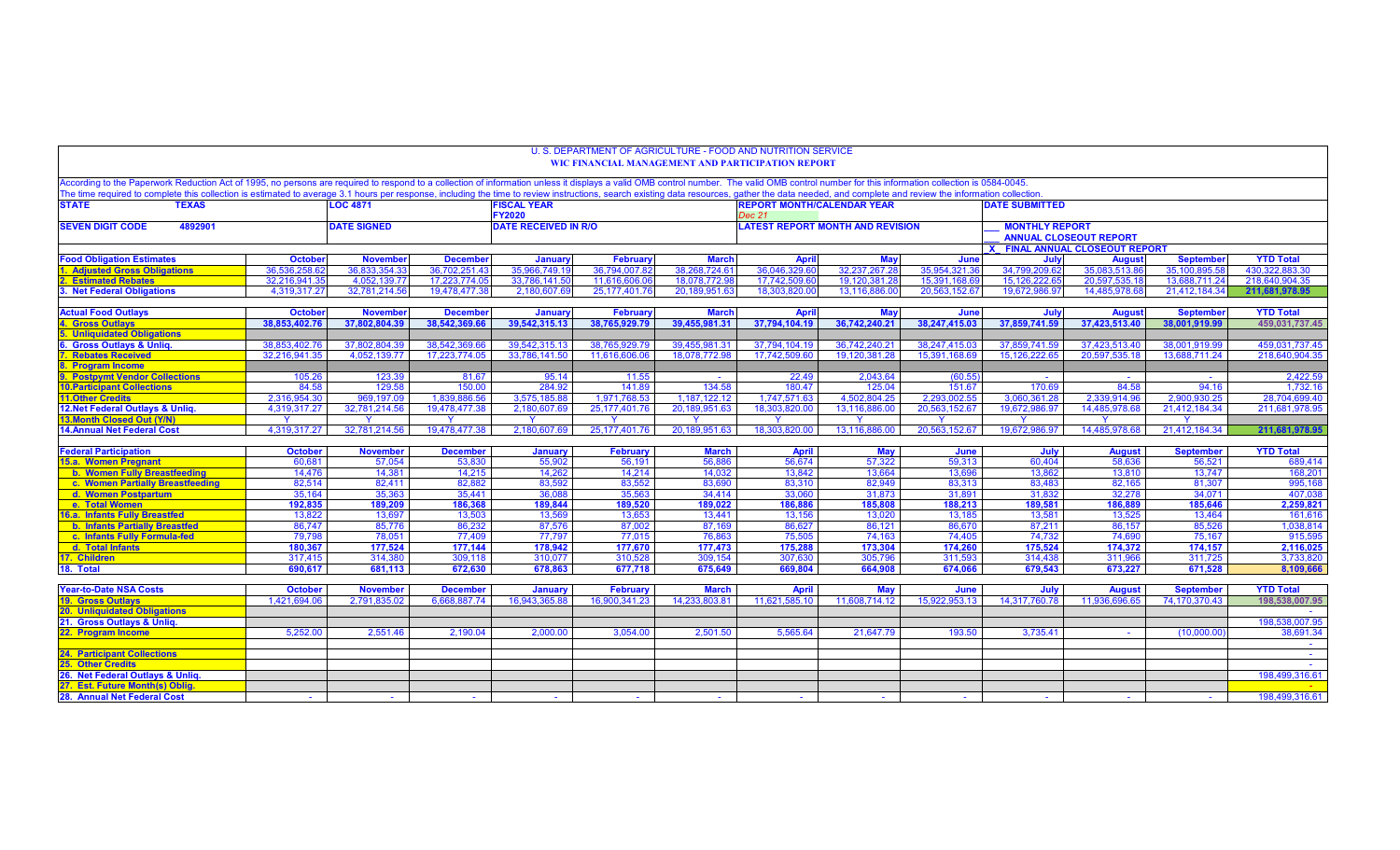|                                                                                                                                                                                                                                                                |                       |                             |                        |                              |                                  |                               | U. S. DEPARTMENT OF AGRICULTURE - FOOD AND NUTRITION SERVICE<br>WIC FINANCIAL MANAGEMENT AND PARTICIPATION REPORT |                               |                               |                               |                                |                               |                                    |
|----------------------------------------------------------------------------------------------------------------------------------------------------------------------------------------------------------------------------------------------------------------|-----------------------|-----------------------------|------------------------|------------------------------|----------------------------------|-------------------------------|-------------------------------------------------------------------------------------------------------------------|-------------------------------|-------------------------------|-------------------------------|--------------------------------|-------------------------------|------------------------------------|
| According to the Paperwork Reduction Act of 1995, no persons are required to respond to a collection of information unless it displays a valid OMB control number. The valid OMB control number for this information collectio                                 |                       |                             |                        |                              |                                  |                               |                                                                                                                   |                               |                               |                               |                                |                               |                                    |
| The time required to complete this collection is estimated to average 3.1 hours per response, including the time to review instructions, search existing data resources, gather the data needed, and complete and review the i<br><b>STATE</b><br><b>TEXAS</b> |                       | <b>LOC 4871</b>             |                        | <b>FISCAL YEAR</b>           |                                  |                               | <b>REPORT MONTH/CALENDAR YEAR</b>                                                                                 |                               |                               | <b>DATE SUBMITTED</b>         |                                |                               |                                    |
|                                                                                                                                                                                                                                                                |                       |                             |                        | <b>FY2020</b>                |                                  |                               | Dec 21                                                                                                            |                               |                               |                               |                                |                               |                                    |
| 4892901<br><b>SEVEN DIGIT CODE</b>                                                                                                                                                                                                                             |                       | <b>DATE SIGNED</b>          |                        | <b>DATE RECEIVED IN R/O</b>  |                                  |                               | <b>LATEST REPORT MONTH AND REVISION</b>                                                                           |                               |                               | <b>MONTHLY REPORT</b>         |                                |                               |                                    |
|                                                                                                                                                                                                                                                                |                       |                             |                        |                              |                                  |                               |                                                                                                                   |                               |                               | <b>ANNUAL CLOSEOUT REPORT</b> |                                |                               |                                    |
|                                                                                                                                                                                                                                                                |                       |                             |                        |                              |                                  |                               |                                                                                                                   |                               |                               |                               | X FINAL ANNUAL CLOSEOUT REPORT |                               |                                    |
| Food Obligation Estimates                                                                                                                                                                                                                                      | <b>October</b>        | <b>November</b>             | <b>December</b>        | January                      | February                         | <b>March</b>                  | <b>April</b>                                                                                                      | <b>May</b>                    | June                          | July                          | <b>August</b>                  | <b>September</b>              | <b>YTD Total</b>                   |
| <b>Adjusted Gross Obligations</b>                                                                                                                                                                                                                              | 36.536.258            | 36.833.354.3                | 36.702.251.4           | 35,966,749.1                 | 36,794,007 8                     | 38,268,724.6                  | 36,046,329.60                                                                                                     | 32,237,267.2                  | 35,954,321.3                  | 34.799.209.6                  | 35.083.513.8                   | 35.100.895.58                 | 430.322.883.30                     |
| <b>Estimated Rebates</b>                                                                                                                                                                                                                                       | 32.216.941.           | 4.052.139.7                 | 17.223.774.0           | 33,786,141.5                 | 11.616.606.0                     | 18,078,772.9                  | 17.742.509.6                                                                                                      | 19.120.381.2                  | 15.391.168.                   | 15,126,222.6                  | 20.597.535.1                   | 13.688.711.24                 | 218.640.904.35                     |
| . Net Federal Obligations                                                                                                                                                                                                                                      | 4.319.317.27          | 32.781.214.56               | 19.478.477.38          | 2.180.607.6                  | 25, 177, 401. 76                 | 20,189,951.6                  | 18.303.820.00                                                                                                     | 13.116.886.00                 | 20.563.152.67                 | 19.672.986.97                 | 14.485.978.68                  | 21,412,184.34                 | 211.681.978.95                     |
|                                                                                                                                                                                                                                                                |                       |                             |                        |                              |                                  |                               |                                                                                                                   |                               |                               |                               |                                |                               |                                    |
| <b>Actual Food Outlays</b>                                                                                                                                                                                                                                     | <b>October</b>        | <b>Novembe</b>              | <b>December</b>        | January                      | Februan                          | <b>March</b>                  | <b>April</b>                                                                                                      | May                           | June                          | July                          | <b>August</b>                  | <b>September</b>              | <b>YTD Total</b>                   |
| <b>Gross Outlays</b>                                                                                                                                                                                                                                           | 38.853.402.76         | 37,802,804.39               | 38.542.369.66          | 39,542,315.13                | 38,765,929.79                    | 39,455,981.31                 | 37,794,104.19                                                                                                     | 36,742,240.21                 | 38,247,415.03                 | 37,859,741.59                 | 37,423,513.40                  | 38,001,919.99                 | 459,031,737.45                     |
| <b>Unliquidated Obligations</b>                                                                                                                                                                                                                                |                       |                             |                        |                              |                                  |                               |                                                                                                                   |                               |                               |                               |                                |                               |                                    |
| <b>Gross Outlays &amp; Unlig.</b>                                                                                                                                                                                                                              | 38.853.402.76         | 37.802.804.39               | 38,542,369.66          | 39,542,315.13                | 38,765,929.79                    | 39,455,981.31                 | 37,794,104.19                                                                                                     | 36,742,240.21                 | 38,247,415.03                 | 37,859,741.59                 | 37,423,513.40                  | 38,001,919.99                 | 459,031,737.45                     |
| <b>Rebates Received</b>                                                                                                                                                                                                                                        | 32,216,941.35         | 4,052,139.77                | 17.223.774.05          | 33,786,141.50                | 11,616,606.06                    | 18,078,772.98                 | 17,742,509.60                                                                                                     | 19,120,381.28                 | 15,391,168.69                 | 15, 126, 222.65               | 20,597,535.18                  | 13,688,711.24                 | 218,640,904.35                     |
| <b>Program Income</b>                                                                                                                                                                                                                                          |                       |                             |                        |                              |                                  |                               |                                                                                                                   |                               |                               |                               |                                |                               |                                    |
| <b>Postpymt Vendor Collections</b>                                                                                                                                                                                                                             | 105.26                | 123.39                      | 81.67                  | 95.14                        | 11.55                            | $\sim$<br>134.58              | 22.49                                                                                                             | 2,043.64                      | (60.55)                       | $\sim$                        | $\sim$<br>84.58                | $\sim$                        | 2,422.59                           |
| <b>10. Participant Collections</b><br><b>11.Other Credits</b>                                                                                                                                                                                                  | 84.58<br>2.316.954.30 | 129.58                      | 150.00<br>1,839,886.56 | 284.92                       | 141.89                           |                               | 180.47                                                                                                            | 125.04                        | 151.67                        | 170.69                        |                                | 94.16                         | 1,732.16<br>28,704,699.40          |
| 12. Net Federal Outlays & Unliq                                                                                                                                                                                                                                | 4,319,317.27          | 969.197.09<br>32,781,214.56 | 19,478,477.38          | 3.575.185.88<br>2,180,607.69 | 1.971.768.53<br>25, 177, 401. 76 | 1.187.122.12<br>20,189,951.63 | 1.747.571.63<br>18,303,820.00                                                                                     | 4,502,804.25<br>13,116,886.00 | 2.293.002.55<br>20,563,152.67 | 3.060.361.28<br>19,672,986.97 | 2,339,914.96<br>14,485,978.68  | 2.900.930.25<br>21,412,184.34 | 211,681,978.95                     |
| 13.Month Closed Out (Y/N)                                                                                                                                                                                                                                      |                       | <b>V</b>                    |                        | -Y                           |                                  |                               | - Y                                                                                                               | Y                             | <b>V</b>                      |                               |                                |                               |                                    |
| <b>14.Annual Net Federal Cost</b>                                                                                                                                                                                                                              | 4,319,317.27          | 32,781,214.56               | 19,478,477.38          | 2,180,607.69                 | 25, 177, 401. 76                 | 20,189,951.63                 | 18,303,820.00                                                                                                     | 13.116.886.00                 | 20,563,152.67                 | 19.672.986.97                 | 14,485,978.68                  | 21,412,184.34                 | 211,681,978.95                     |
|                                                                                                                                                                                                                                                                |                       |                             |                        |                              |                                  |                               |                                                                                                                   |                               |                               |                               |                                |                               |                                    |
| <b>Federal Participation</b>                                                                                                                                                                                                                                   | <b>October</b>        | <b>November</b>             | <b>December</b>        | January                      | <b>February</b>                  | <b>March</b>                  | <b>April</b>                                                                                                      | May                           | June                          | July                          | <b>August</b>                  | <b>September</b>              | <b>YTD Total</b>                   |
| 15.a. Women Pregnant                                                                                                                                                                                                                                           | 60,681                | 57,054                      | 53,830                 | 55,902                       | 56,191                           | 56,886                        | 56,674                                                                                                            | 57,322                        | 59,313                        | 60,404                        | 58,636                         | 56,521                        | 689,414                            |
| b. Women Fully Breastfeeding                                                                                                                                                                                                                                   | 14,476                | 14.381                      | 14,215                 | 14,262                       | 14,214                           | 14,032                        | 13.842                                                                                                            | 13,664                        | 13.69                         | 13,862                        | 13,810                         | 13,747                        | 168,201                            |
| c. Women Partially Breastfeeding                                                                                                                                                                                                                               | 82,514                | 82,411                      | 82.882                 | 83.592                       | 83.552                           | 83.690                        | 83.310                                                                                                            | 82,949                        | 83.313                        | 83,483                        | 82.165                         | 81.307                        | 995,168                            |
| d. Women Postpartum                                                                                                                                                                                                                                            | 35,164                | 35,363                      | 35,441                 | 36,08                        | 35,563                           | 34,414                        | 33,060                                                                                                            | 31,873                        | 31,89                         | 31,832                        | 32,278                         | 34,071                        | 407,038                            |
| e. Total Women                                                                                                                                                                                                                                                 | 192,835               | 189,209                     | 186,368                | 189,844                      | 189,520                          | 189,022                       | 186,886                                                                                                           | 185,808                       | 188,213                       | 189,581                       | 186,889                        | 185,646                       | 2,259,821                          |
| 16.a. Infants Fully Breastfed                                                                                                                                                                                                                                  | 13,822                | 13,697                      | 13,503                 | 13,569                       | 13.653                           | 13,441                        | 13.156                                                                                                            | 13,020                        | 13.185                        | 13,581                        | 13,525                         | 13.464                        | 161,616                            |
| <b>b. Infants Partially Breastfed</b>                                                                                                                                                                                                                          | 86.747                | 85.776                      | 86.232                 | 87.576                       | 87,002                           | 87.169                        | 86.627                                                                                                            | 86.121                        | 86,670                        | 87.211                        | 86.157                         | 85.526                        | 1,038,814                          |
| c. Infants Fully Formula-fed                                                                                                                                                                                                                                   | 79.798                | 78.051                      | 77,409                 | 77.797                       | 77.015                           | 76.863                        | 75.505                                                                                                            | 74,163                        | 74.405                        | 74.732                        | 74.690                         | 75.167                        | 915,595                            |
| d. Total Infants                                                                                                                                                                                                                                               | 180,367               | 177.524                     | 177.144                | 178,942                      | 177.670                          | 177,473                       | 175.288                                                                                                           | 173,304                       | 174.260                       | 175,524                       | 174,372                        | 174,157                       | 2,116,025                          |
| 17. Children                                                                                                                                                                                                                                                   | 317.415               | 314,380                     | 309.118                | 310.077                      | 310.528                          | 309.154                       | 307.630                                                                                                           | 305.796                       | 311.593                       | 314.438                       | 311.966                        | 311.725                       | 3.733.820                          |
| 18. Total                                                                                                                                                                                                                                                      | 690,617               | 681,113                     | 672,630                | 678,863                      | 677,718                          | 675,649                       | 669,804                                                                                                           | 664,908                       | 674,066                       | 679,543                       | 673,227                        | 671,528                       | 8,109,666                          |
|                                                                                                                                                                                                                                                                |                       |                             |                        |                              |                                  |                               |                                                                                                                   |                               |                               |                               |                                |                               |                                    |
| <b>Year-to-Date NSA Costs</b>                                                                                                                                                                                                                                  | <b>October</b>        | <b>November</b>             | <b>December</b>        | <b>January</b>               | February                         | <b>March</b>                  | <b>April</b>                                                                                                      | May                           | June                          | July                          | <b>August</b>                  | <b>September</b>              | <b>YTD Total</b><br>198,538,007.95 |
| <b>19. Gross Outlays</b><br><b>20. Unliquidated Obligations</b>                                                                                                                                                                                                | 1.421.694.06          | 2.791.835.02                | 6,668,887.74           | 16,943,365.88                | 16,900,341.23                    | 14,233,803.81                 | 11,621,585.10                                                                                                     | 11.608.714.12                 | 15,922,953.13                 | 14,317,760.78                 | 11,936,696.65                  | 74,170,370.43                 |                                    |
| 21. Gross Outlays & Unliq.                                                                                                                                                                                                                                     |                       |                             |                        |                              |                                  |                               |                                                                                                                   |                               |                               |                               |                                |                               | $\sim 10$<br>198,538,007.95        |
| 22. Program Income                                                                                                                                                                                                                                             | 5,252.00              | 2,551.46                    | 2,190.04               | 2,000.00                     | 3,054.00                         | 2,501.50                      | 5,565.64                                                                                                          | 21,647.79                     | 193.50                        | 3,735.41                      |                                | (10,000.00)                   | 38,691.34                          |
|                                                                                                                                                                                                                                                                |                       |                             |                        |                              |                                  |                               |                                                                                                                   |                               |                               |                               |                                |                               | $\sim 10^{-11}$                    |
| <b>24. Participant Collections</b>                                                                                                                                                                                                                             |                       |                             |                        |                              |                                  |                               |                                                                                                                   |                               |                               |                               |                                |                               | $\sim 100$                         |
| <b>Other Credits</b>                                                                                                                                                                                                                                           |                       |                             |                        |                              |                                  |                               |                                                                                                                   |                               |                               |                               |                                |                               | $\sim 10^{-11}$                    |
| 26. Net Federal Outlays & Unliq.                                                                                                                                                                                                                               |                       |                             |                        |                              |                                  |                               |                                                                                                                   |                               |                               |                               |                                |                               | 198,499,316.61                     |
| <b>Est. Future Month(s) Oblig.</b>                                                                                                                                                                                                                             |                       |                             |                        |                              |                                  |                               |                                                                                                                   |                               |                               |                               |                                |                               |                                    |
| 28. Annual Net Federal Cost                                                                                                                                                                                                                                    |                       |                             |                        | $\sim$                       | $\sim$                           |                               |                                                                                                                   |                               | $\sim$                        | $\sim$                        |                                | $\sim$                        | 198,499,316.61                     |
|                                                                                                                                                                                                                                                                |                       |                             |                        |                              |                                  |                               |                                                                                                                   |                               |                               |                               |                                |                               |                                    |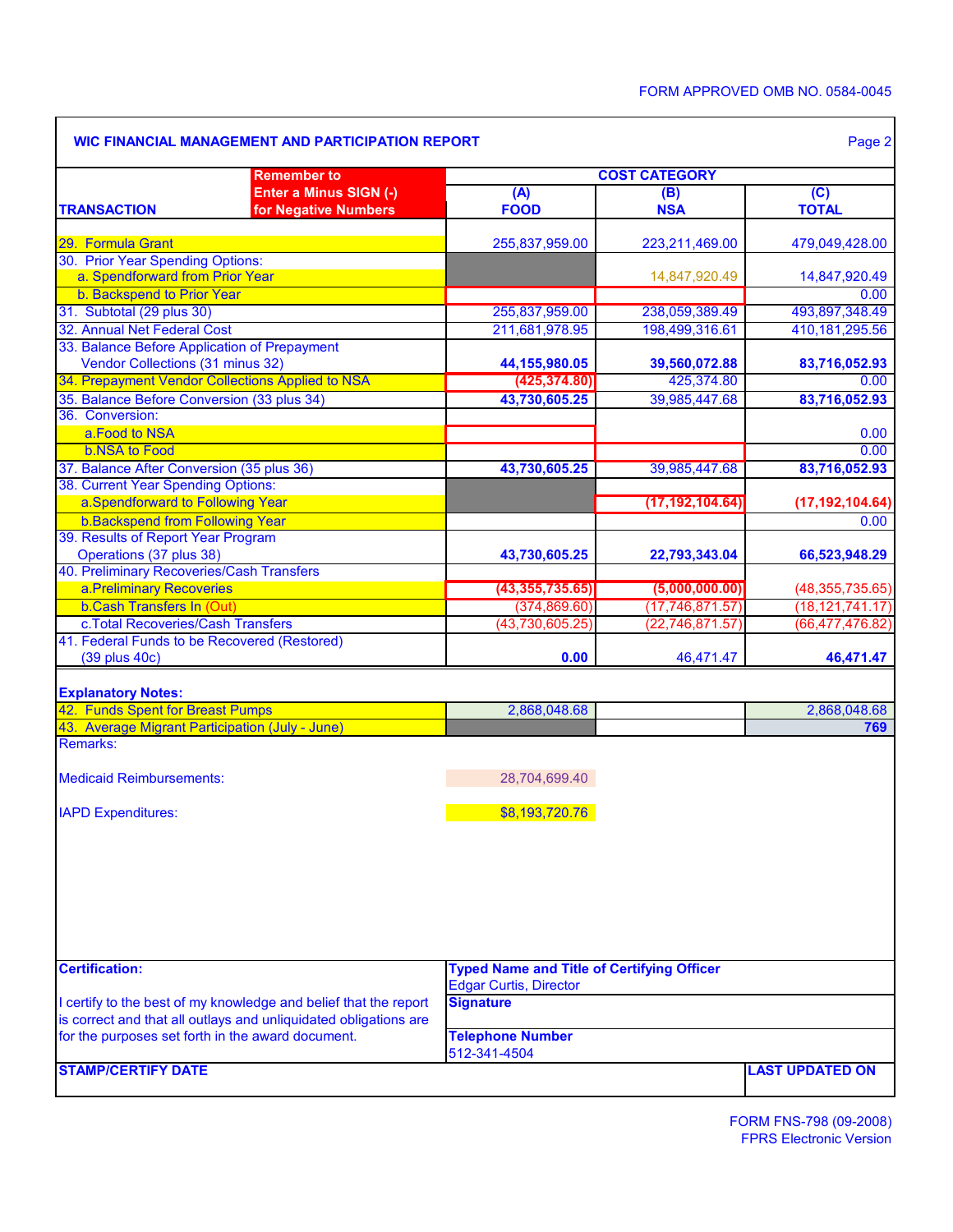٦

|                                                                    | <b>Remember to</b>                                               | <b>COST CATEGORY</b>                                                               |                                        |                                        |  |  |  |  |  |
|--------------------------------------------------------------------|------------------------------------------------------------------|------------------------------------------------------------------------------------|----------------------------------------|----------------------------------------|--|--|--|--|--|
|                                                                    | Enter a Minus SIGN (-)                                           | (A)                                                                                | (B)                                    | (C)                                    |  |  |  |  |  |
| <b>TRANSACTION</b>                                                 | for Negative Numbers                                             | <b>FOOD</b>                                                                        | <b>NSA</b>                             | <b>TOTAL</b>                           |  |  |  |  |  |
| 29. Formula Grant                                                  |                                                                  | 255,837,959.00                                                                     | 223,211,469.00                         | 479,049,428.00                         |  |  |  |  |  |
| 30. Prior Year Spending Options:                                   |                                                                  |                                                                                    |                                        |                                        |  |  |  |  |  |
| a. Spendforward from Prior Year                                    |                                                                  |                                                                                    | 14,847,920.49                          | 14,847,920.49                          |  |  |  |  |  |
| b. Backspend to Prior Year                                         |                                                                  |                                                                                    |                                        | 0.00                                   |  |  |  |  |  |
| 31. Subtotal (29 plus 30)                                          |                                                                  | 255,837,959.00                                                                     | 238,059,389.49                         | 493,897,348.49                         |  |  |  |  |  |
| 32. Annual Net Federal Cost                                        |                                                                  | 211,681,978.95                                                                     | 198,499,316.61                         | 410,181,295.56                         |  |  |  |  |  |
| 33. Balance Before Application of Prepayment                       |                                                                  |                                                                                    |                                        |                                        |  |  |  |  |  |
| Vendor Collections (31 minus 32)                                   |                                                                  | 44, 155, 980.05                                                                    | 39,560,072.88                          | 83,716,052.93                          |  |  |  |  |  |
|                                                                    | 34. Prepayment Vendor Collections Applied to NSA                 | (425, 374.80)                                                                      | 425,374.80                             | 0.00 <sub>1</sub>                      |  |  |  |  |  |
| 35. Balance Before Conversion (33 plus 34)                         |                                                                  | 43,730,605.25                                                                      | 39,985,447.68                          | 83,716,052.93                          |  |  |  |  |  |
| 36. Conversion:                                                    |                                                                  |                                                                                    |                                        |                                        |  |  |  |  |  |
| a.Food to NSA                                                      |                                                                  |                                                                                    |                                        | 0.00                                   |  |  |  |  |  |
| <b>b.NSA to Food</b>                                               |                                                                  |                                                                                    |                                        | 0.00                                   |  |  |  |  |  |
| 37. Balance After Conversion (35 plus 36)                          |                                                                  | 43,730,605.25                                                                      | 39,985,447.68                          | 83,716,052.93                          |  |  |  |  |  |
| 38. Current Year Spending Options:                                 |                                                                  |                                                                                    |                                        |                                        |  |  |  |  |  |
| a.Spendforward to Following Year                                   |                                                                  |                                                                                    | (17, 192, 104.64)                      | (17, 192, 104.64)                      |  |  |  |  |  |
| b. Backspend from Following Year                                   |                                                                  |                                                                                    |                                        | 0.00                                   |  |  |  |  |  |
| 39. Results of Report Year Program                                 |                                                                  |                                                                                    |                                        |                                        |  |  |  |  |  |
| Operations (37 plus 38)                                            |                                                                  | 43,730,605.25                                                                      | 22,793,343.04                          | 66,523,948.29                          |  |  |  |  |  |
| 40. Preliminary Recoveries/Cash Transfers                          |                                                                  |                                                                                    |                                        |                                        |  |  |  |  |  |
| a.Preliminary Recoveries<br><b>b.Cash Transfers In (Out)</b>       |                                                                  | (43, 355, 735.65)                                                                  | (5,000,000.00)                         | (48, 355, 735.65)                      |  |  |  |  |  |
| c. Total Recoveries/Cash Transfers                                 |                                                                  | (374, 869.60)<br>(43,730,605.25)                                                   | (17, 746, 871.57)<br>(22, 746, 871.57) | (18, 121, 741.17)<br>(66, 477, 476.82) |  |  |  |  |  |
| 41. Federal Funds to be Recovered (Restored)                       |                                                                  |                                                                                    |                                        |                                        |  |  |  |  |  |
| (39 plus 40c)                                                      |                                                                  | 0.00                                                                               | 46,471.47                              | 46,471.47                              |  |  |  |  |  |
|                                                                    |                                                                  |                                                                                    |                                        |                                        |  |  |  |  |  |
| <b>Explanatory Notes:</b>                                          |                                                                  |                                                                                    |                                        |                                        |  |  |  |  |  |
| 42. Funds Spent for Breast Pumps                                   |                                                                  | 2,868,048.68                                                                       |                                        | 2,868,048.68                           |  |  |  |  |  |
| 43. Average Migrant Participation (July - June)<br><b>Remarks:</b> |                                                                  |                                                                                    |                                        | 769                                    |  |  |  |  |  |
|                                                                    |                                                                  |                                                                                    |                                        |                                        |  |  |  |  |  |
| <b>Medicaid Reimbursements:</b>                                    |                                                                  | 28,704,699.40                                                                      |                                        |                                        |  |  |  |  |  |
| <b>IAPD Expenditures:</b>                                          |                                                                  | \$8,193,720.76                                                                     |                                        |                                        |  |  |  |  |  |
|                                                                    |                                                                  |                                                                                    |                                        |                                        |  |  |  |  |  |
|                                                                    |                                                                  |                                                                                    |                                        |                                        |  |  |  |  |  |
|                                                                    |                                                                  |                                                                                    |                                        |                                        |  |  |  |  |  |
|                                                                    |                                                                  |                                                                                    |                                        |                                        |  |  |  |  |  |
|                                                                    |                                                                  |                                                                                    |                                        |                                        |  |  |  |  |  |
| <b>Certification:</b>                                              |                                                                  |                                                                                    |                                        |                                        |  |  |  |  |  |
|                                                                    |                                                                  | <b>Typed Name and Title of Certifying Officer</b><br><b>Edgar Curtis, Director</b> |                                        |                                        |  |  |  |  |  |
|                                                                    | I certify to the best of my knowledge and belief that the report | <b>Signature</b>                                                                   |                                        |                                        |  |  |  |  |  |
|                                                                    | is correct and that all outlays and unliquidated obligations are |                                                                                    |                                        |                                        |  |  |  |  |  |
| for the purposes set forth in the award document.                  |                                                                  | <b>Telephone Number</b><br>512-341-4504                                            |                                        |                                        |  |  |  |  |  |
| <b>STAMP/CERTIFY DATE</b>                                          |                                                                  |                                                                                    |                                        | <b>LAST UPDATED ON</b>                 |  |  |  |  |  |
|                                                                    |                                                                  |                                                                                    |                                        |                                        |  |  |  |  |  |